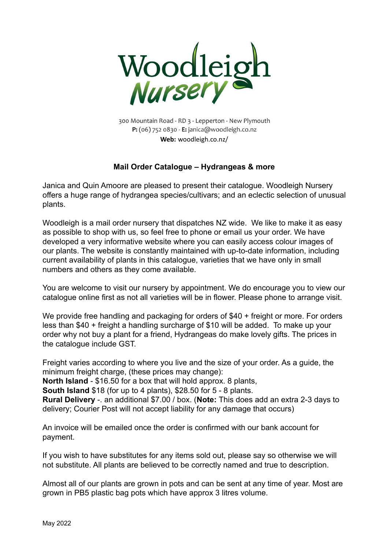

300 Mountain Road - RD 3 - Lepperton - New Plymouth P: (06) 752 0830 - E: janica@woodleigh.co.nz **Web:** woodleigh.co.nz/

### **Mail Order Catalogue – Hydrangeas & more**

Janica and Quin Amoore are pleased to present their catalogue. Woodleigh Nursery offers a huge range of hydrangea species/cultivars; and an eclectic selection of unusual plants.

Woodleigh is a mail order nursery that dispatches NZ wide. We like to make it as easy as possible to shop with us, so feel free to phone or email us your order. We have developed a very informative website where you can easily access colour images of our plants. The website is constantly maintained with up-to-date information, including current availability of plants in this catalogue, varieties that we have only in small numbers and others as they come available.

You are welcome to visit our nursery by appointment. We do encourage you to view our catalogue online first as not all varieties will be in flower. Please phone to arrange visit.

We provide free handling and packaging for orders of \$40 + freight or more. For orders less than \$40 + freight a handling surcharge of \$10 will be added. To make up your order why not buy a plant for a friend, Hydrangeas do make lovely gifts. The prices in the catalogue include GST.

Freight varies according to where you live and the size of your order. As a guide, the minimum freight charge, (these prices may change):

**North Island** - \$16.50 for a box that will hold approx. 8 plants,

**South Island** \$18 (for up to 4 plants), \$28.50 for 5 - 8 plants.

**Rural Delivery** -. an additional \$7.00 / box. (**Note:** This does add an extra 2-3 days to delivery; Courier Post will not accept liability for any damage that occurs)

An invoice will be emailed once the order is confirmed with our bank account for payment.

If you wish to have substitutes for any items sold out, please say so otherwise we will not substitute. All plants are believed to be correctly named and true to description.

Almost all of our plants are grown in pots and can be sent at any time of year. Most are grown in PB5 plastic bag pots which have approx 3 litres volume.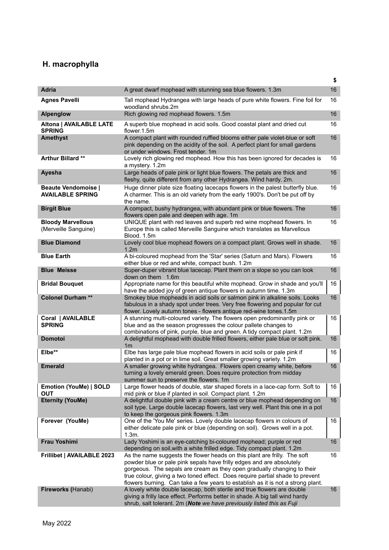# **H. macrophylla**

|                                                       |                                                                                                                                                                                                                                                                                                                                                                                                 | \$ |
|-------------------------------------------------------|-------------------------------------------------------------------------------------------------------------------------------------------------------------------------------------------------------------------------------------------------------------------------------------------------------------------------------------------------------------------------------------------------|----|
| <b>Adria</b>                                          | A great dwarf mophead with stunning sea blue flowers. 1.3m                                                                                                                                                                                                                                                                                                                                      | 16 |
| <b>Agnes Pavelli</b>                                  | Tall mophead Hydrangea with large heads of pure white flowers. Fine foil for<br>woodland shrubs.2m                                                                                                                                                                                                                                                                                              | 16 |
| <b>Alpenglow</b>                                      | Rich glowing red mophead flowers. 1.5m                                                                                                                                                                                                                                                                                                                                                          | 16 |
| <b>Altona   AVAILABLE LATE</b><br><b>SPRING</b>       | A superb blue mophead in acid soils. Good coastal plant and dried cut<br>flower.1.5m                                                                                                                                                                                                                                                                                                            | 16 |
| <b>Amethyst</b>                                       | A compact plant with rounded ruffled blooms either pale violet-blue or soft<br>pink depending on the acidity of the soil. A perfect plant for small gardens<br>or under windows. Frost tender. 1m                                                                                                                                                                                               | 16 |
| Arthur Billard **                                     | Lovely rich glowing red mophead. How this has been ignored for decades is<br>a mystery. 1.2m                                                                                                                                                                                                                                                                                                    | 16 |
| Ayesha                                                | Large heads of pale pink or light blue flowers. The petals are thick and<br>fleshy, quite different from any other Hydrangea. Wind hardy. 2m.                                                                                                                                                                                                                                                   | 16 |
| <b>Beaute Vendomoise  </b><br><b>AVAILABLE SPRING</b> | Huge dinner plate size floating lacecaps flowers in the palest butterfly blue.<br>A charmer. This is an old variety from the early 1900's. Don't be put off by<br>the name.                                                                                                                                                                                                                     | 16 |
| <b>Birgit Blue</b>                                    | A compact, bushy hydrangea, with abundant pink or blue flowers. The<br>flowers open pale and deepen with age. 1m                                                                                                                                                                                                                                                                                | 16 |
| <b>Bloody Marvellous</b><br>(Merveille Sanguine)      | UNIQUE plant with red leaves and superb red wine mophead flowers. In<br>Europe this is called Merveille Sanguine which translates as Marvellous<br>Blood. 1.5m                                                                                                                                                                                                                                  | 16 |
| <b>Blue Diamond</b>                                   | Lovely cool blue mophead flowers on a compact plant. Grows well in shade.<br>1.2 <sub>m</sub>                                                                                                                                                                                                                                                                                                   | 16 |
| <b>Blue Earth</b>                                     | A bi-coloured mophead from the 'Star' series (Saturn and Mars). Flowers<br>either blue or red and white, compact bush. 1.2m                                                                                                                                                                                                                                                                     | 16 |
| <b>Blue Meisse</b>                                    | Super-duper vibrant blue lacecap. Plant them on a slope so you can look<br>down on them 1.6m                                                                                                                                                                                                                                                                                                    | 16 |
| <b>Bridal Bouquet</b>                                 | Appropriate name for this beautiful white mophead. Grow in shade and you'll<br>have the added joy of green antique flowers in autumn time. 1.3m                                                                                                                                                                                                                                                 | 16 |
| <b>Colonel Durham**</b>                               | Smokey blue mopheads in acid soils or salmon pink in alkaline soils. Looks<br>fabulous in a shady spot under trees. Very free flowering and popular for cut<br>flower. Lovely autumn tones - flowers antique red-wine tones.1.5m                                                                                                                                                                | 16 |
| Coral   AVAILABLE<br><b>SPRING</b>                    | A stunning multi-coloured variety. The flowers open predominantly pink or<br>blue and as the season progresses the colour pallete changes to<br>combinations of pink, purple, blue and green. A tidy compact plant. 1.2m                                                                                                                                                                        | 16 |
| <b>Domotoi</b>                                        | A delightful mophead with double frilled flowers, either pale blue or soft pink.<br>1 <sub>m</sub>                                                                                                                                                                                                                                                                                              | 16 |
| Elbe**                                                | Elbe has large pale blue mophead flowers in acid soils or pale pink if<br>planted in a pot or in lime soil. Great smaller growing variety. 1.2m                                                                                                                                                                                                                                                 | 16 |
| <b>Emerald</b>                                        | A smaller growing white hydrangea. Flowers open creamy white, before<br>turning a lovely emerald green. Does require protection from midday<br>summer sun to preserve the flowers. 1m                                                                                                                                                                                                           | 16 |
| <b>Emotion (YouMe)   SOLD</b><br><b>OUT</b>           | Large flower heads of double, star shaped florets in a lace-cap form. Soft to<br>mid pink or blue if planted in soil. Compact plant. 1.2m                                                                                                                                                                                                                                                       | 16 |
| <b>Eternity (YouMe)</b>                               | A delightful double pink with a cream centre or blue mophead depending on<br>soil type. Large double lacecap flowers, last very well. Plant this one in a pot<br>to keep the gorgeous pink flowers. 1.3m                                                                                                                                                                                        | 16 |
| Forever (YouMe)                                       | One of the 'You Me' series. Lovely double lacecap flowers in colours of<br>either delicate pale pink or blue (depending on soil). Grows well in a pot.<br>1.3m.                                                                                                                                                                                                                                 | 16 |
| <b>Frau Yoshimi</b>                                   | Lady Yoshimi is an eye-catching bi-coloured mophead; purple or red<br>depending on soil, with a white frilled edge. Tidy compact plant. 1.2m                                                                                                                                                                                                                                                    | 16 |
| Frillibet   AVAILABLE 2023                            | As the name suggests the flower heads on this plant are frilly. The soft<br>powder blue or pale pink sepals have frilly edges and are absolutely<br>gorgeous. The sepals are cream as they open gradually changing to their<br>true colour, giving a two toned effect. Does require partial shade to prevent<br>flowers burning. Can take a few years to establish as it is not a strong plant. | 16 |
| Fireworks (Hanabi)                                    | A lovely white double lacecap, both sterile and true flowers are double<br>giving a frilly lace effect. Performs better in shade. A big tall wind hardy<br>shrub, salt tolerant. 2m (Note we have previously listed this as Fuji                                                                                                                                                                | 16 |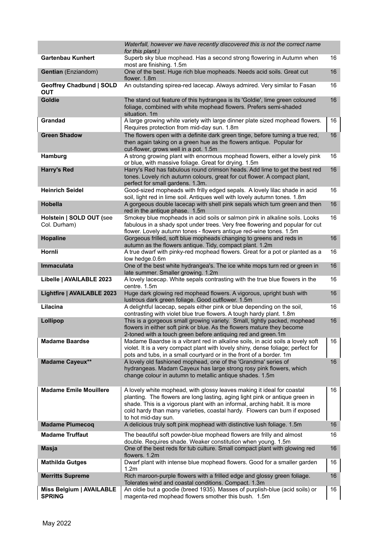|                                           | Waterfall, however we have recently discovered this is not the correct name<br>for this plant.)                                                                                                                                                                                                                                            |    |
|-------------------------------------------|--------------------------------------------------------------------------------------------------------------------------------------------------------------------------------------------------------------------------------------------------------------------------------------------------------------------------------------------|----|
| <b>Gartenbau Kunhert</b>                  | Superb sky blue mophead. Has a second strong flowering in Autumn when                                                                                                                                                                                                                                                                      | 16 |
| Gentian (Enziandom)                       | most are finishing. 1.5m<br>One of the best. Huge rich blue mopheads. Needs acid soils. Great cut<br>flower. 1.8m                                                                                                                                                                                                                          | 16 |
| Geoffrey Chadbund   SOLD<br><b>OUT</b>    | An outstanding spirea-red lacecap. Always admired. Very similar to Fasan                                                                                                                                                                                                                                                                   | 16 |
| Goldie                                    | The stand out feature of this hydrangea is its 'Goldie', lime green coloured<br>foliage, combined with white mophead flowers. Prefers semi-shaded<br>situation. 1m                                                                                                                                                                         | 16 |
| Grandad                                   | A large growing white variety with large dinner plate sized mophead flowers.<br>Requires protection from mid-day sun. 1.8m                                                                                                                                                                                                                 | 16 |
| <b>Green Shadow</b>                       | The flowers open with a definite dark green tinge, before turning a true red,<br>then again taking on a green hue as the flowers antique. Popular for<br>cut-flower, grows well in a pot. 1.5m                                                                                                                                             | 16 |
| Hamburg                                   | A strong growing plant with enormous mophead flowers, either a lovely pink<br>or blue, with massive foliage. Great for drying. 1.5m                                                                                                                                                                                                        | 16 |
| <b>Harry's Red</b>                        | Harry's Red has fabulous round crimson heads. Add lime to get the best red<br>tones. Lovely rich autumn colours, great for cut flower. A compact plant,<br>perfect for small gardens. 1.3m.                                                                                                                                                | 16 |
| <b>Heinrich Seidel</b>                    | Good-sized mopheads with frilly edged sepals. A lovely lilac shade in acid<br>soil, light red in lime soil. Antiques well with lovely autumn tones. 1.8m                                                                                                                                                                                   | 16 |
| <b>Hobella</b>                            | A gorgeous double lacecap with shell pink sepals which turn green and then<br>red in the antique phase. 1.5m                                                                                                                                                                                                                               | 16 |
| Holstein   SOLD OUT (see<br>Col. Durham)  | Smokey blue mopheads in acid soils or salmon pink in alkaline soils. Looks<br>fabulous in a shady spot under trees. Very free flowering and popular for cut<br>flower. Lovely autumn tones - flowers antique red-wine tones. 1.5m                                                                                                          | 16 |
| Hopaline                                  | Gorgeous frilled, soft blue mopheads changing to greens and reds in<br>autumn as the flowers antique. Tidy, compact plant. 1.2m                                                                                                                                                                                                            | 16 |
| Hornli                                    | A true dwarf with pinky-red mophead flowers. Great for a pot or planted as a<br>low hedge.0.6m                                                                                                                                                                                                                                             | 16 |
| Immaculata                                | One of the best white hydrangea's. The ice white mops turn red or green in<br>late summer. Smaller growing. 1.2m                                                                                                                                                                                                                           | 16 |
| Libelle   AVAILABLE 2023                  | A lovely lacecap. White sepals contrasting with the true blue flowers in the<br>centre. 1.5m                                                                                                                                                                                                                                               | 16 |
| Lightfire   AVAILABLE 2023                | Huge dark glowing red mophead flowers. A vigorous, upright bush with<br>lustrous dark green foliage. Good cutflower. 1.5m                                                                                                                                                                                                                  | 16 |
| Lilacina                                  | A delightful lacecap, sepals either pink or blue depending on the soil,<br>contrasting with violet blue true flowers. A tough hardy plant. 1.8m                                                                                                                                                                                            | 16 |
| Lollipop                                  | This is a gorgeous small growing variety. Small, tightly packed, mophead<br>flowers in either soft pink or blue. As the flowers mature they become<br>2-toned with a touch green before antiquing red and green.1m                                                                                                                         | 16 |
| <b>Madame Baardse</b>                     | Madame Baardse is a vibrant red in alkaline soils, in acid soils a lovely soft<br>violet. It is a very compact plant with lovely shiny, dense foliage; perfect for<br>pots and tubs, in a small courtyard or in the front of a border. 1m                                                                                                  | 16 |
| <b>Madame Cayeux**</b>                    | A lovely old fashioned mophead, one of the 'Grandma' series of<br>hydrangeas. Madam Cayeux has large strong rosy pink flowers, which<br>change colour in autumn to metallic antique shades. 1.5m                                                                                                                                           | 16 |
| <b>Madame Emile Mouillere</b>             | A lovely white mophead, with glossy leaves making it ideal for coastal<br>planting. The flowers are long lasting, aging light pink or antique green in<br>shade. This is a vigorous plant with an informal, arching habit. It is more<br>cold hardy than many varieties, coastal hardy. Flowers can burn if exposed<br>to hot mid-day sun. | 16 |
| <b>Madame Plumecoq</b>                    | A delicious truly soft pink mophead with distinctive lush foliage. 1.5m                                                                                                                                                                                                                                                                    | 16 |
| <b>Madame Truffaut</b>                    | The beautiful soft powder-blue mophead flowers are frilly and almost<br>double. Requires shade. Weaker constitution when young. 1.5m                                                                                                                                                                                                       | 16 |
| <b>Masja</b>                              | One of the best reds for tub culture. Small compact plant with glowing red<br>flowers. 1.2m                                                                                                                                                                                                                                                | 16 |
| <b>Mathilda Gutges</b>                    | Dwarf plant with intense blue mophead flowers. Good for a smaller garden<br>1.2m                                                                                                                                                                                                                                                           | 16 |
| <b>Merritts Supreme</b>                   | Rich maroon-purple flowers with a frilled edge and glossy green foliage.<br>Tolerates wind and coastal conditions. Compact. 1.3m                                                                                                                                                                                                           | 16 |
| Miss Belgium   AVAILABLE<br><b>SPRING</b> | An oldie but a goodie (breed 1935). Masses of purplish-blue (acid soils) or<br>magenta-red mophead flowers smother this bush. 1.5m                                                                                                                                                                                                         | 16 |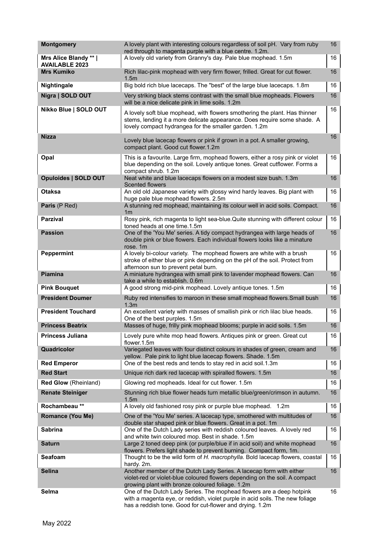| <b>Montgomery</b>                              | A lovely plant with interesting colours regardless of soil pH. Vary from ruby<br>red through to magenta purple with a blue centre. 1.2m.                                                                         | 16 |
|------------------------------------------------|------------------------------------------------------------------------------------------------------------------------------------------------------------------------------------------------------------------|----|
| Mrs Alice Blandy **  <br><b>AVAILABLE 2023</b> | A lovely old variety from Granny's day. Pale blue mophead. 1.5m                                                                                                                                                  | 16 |
| <b>Mrs Kumiko</b>                              | Rich lilac-pink mophead with very firm flower, frilled. Great for cut flower.<br>1.5 <sub>m</sub>                                                                                                                | 16 |
| Nightingale                                    | Big bold rich blue lacecaps. The "best" of the large blue lacecaps. 1.8m                                                                                                                                         | 16 |
| Nigra   SOLD OUT                               | Very striking black stems contrast with the small blue mopheads. Flowers<br>will be a nice delicate pink in lime soils. 1.2m                                                                                     | 16 |
| Nikko Blue   SOLD OUT                          | A lovely soft blue mophead, with flowers smothering the plant. Has thinner<br>stems, lending it a more delicate appearance. Does require some shade. A<br>lovely compact hydrangea for the smaller garden. 1.2m  | 16 |
| Nizza                                          | Lovely blue lacecap flowers or pink if grown in a pot. A smaller growing,<br>compact plant. Good cut flower.1.2m                                                                                                 | 16 |
| Opal                                           | This is a favourite. Large firm, mophead flowers, either a rosy pink or violet<br>blue depending on the soil. Lovely antique tones. Great cutflower. Forms a<br>compact shrub. 1.2m                              | 16 |
| <b>Opuloides   SOLD OUT</b>                    | Neat white and blue lacecaps flowers on a modest size bush. 1.3m<br>Scented flowers                                                                                                                              | 16 |
| <b>Otaksa</b>                                  | An old old Japanese variety with glossy wind hardy leaves. Big plant with<br>huge pale blue mophead flowers. 2.5m                                                                                                | 16 |
| Paris (P Red)                                  | A stunning red mophead, maintaining its colour well in acid soils. Compact.<br>1 <sub>m</sub>                                                                                                                    | 16 |
| <b>Parzival</b>                                | Rosy pink, rich magenta to light sea-blue. Quite stunning with different colour<br>toned heads at one time.1.5m                                                                                                  | 16 |
| <b>Passion</b>                                 | One of the 'You Me' series. A tidy compact hydrangea with large heads of<br>double pink or blue flowers. Each individual flowers looks like a minature<br>rose. 1m                                               | 16 |
| Peppermint                                     | A lovely bi-colour variety. The mophead flowers are white with a brush<br>stroke of either blue or pink depending on the pH of the soil. Protect from<br>afternoon sun to prevent petal burn.                    | 16 |
| <b>Piamina</b>                                 | A miniature hydrangea with small pink to lavender mophead flowers. Can<br>take a while to establish. 0.6m                                                                                                        | 16 |
| <b>Pink Bouquet</b>                            | A good strong mid-pink mophead. Lovely antique tones. 1.5m                                                                                                                                                       | 16 |
| <b>President Doumer</b>                        | Ruby red intensifies to maroon in these small mophead flowers. Small bush<br>1.3 <sub>m</sub>                                                                                                                    | 16 |
| <b>President Touchard</b>                      | An excellent variety with masses of smallish pink or rich lilac blue heads.<br>One of the best purples. 1.5m                                                                                                     | 16 |
| <b>Princess Beatrix</b>                        | Masses of huge, frilly pink mophead blooms; purple in acid soils. 1.5m                                                                                                                                           | 16 |
| Princess Juliana                               | Lovely pure white mop head flowers. Antiques pink or green. Great cut<br>flower.1.5m                                                                                                                             | 16 |
| Quadricolor                                    | Variegated leaves with four distinct colours in shades of green, cream and<br>yellow. Pale pink to light blue lacecap flowers. Shade. 1.5m                                                                       | 16 |
| <b>Red Emperor</b>                             | One of the best reds and tends to stay red in acid soil.1.3m                                                                                                                                                     | 16 |
| <b>Red Start</b>                               | Unique rich dark red lacecap with spiralled flowers. 1.5m                                                                                                                                                        | 16 |
| Red Glow (Rheinland)                           | Glowing red mopheads. Ideal for cut flower. 1.5m                                                                                                                                                                 | 16 |
| <b>Renate Steiniger</b>                        | Stunning rich blue flower heads turn metallic blue/green/crimson in autumn.<br>1.5 <sub>m</sub>                                                                                                                  | 16 |
| Rochambeau**                                   | A lovely old fashioned rosy pink or purple blue mophead. 1.2m                                                                                                                                                    | 16 |
| <b>Romance (You Me)</b>                        | One of the 'You Me' series. A lacecap type, smothered with multitudes of<br>double star shaped pink or blue flowers. Great in a pot. 1m                                                                          | 16 |
| <b>Sabrina</b>                                 | One of the Dutch Lady series with reddish coloured leaves. A lovely red<br>and white twin coloured mop. Best in shade. 1.5m                                                                                      | 16 |
| <b>Saturn</b>                                  | Large 2 toned deep pink (or purple/blue if in acid soil) and white mophead<br>flowers. Prefers light shade to prevent burning. Compact form, 1m.                                                                 | 16 |
| Seafoam                                        | Thought to be the wild form of H. macrophylla. Bold lacecap flowers, coastal<br>hardy. 2m.                                                                                                                       | 16 |
| <b>Selina</b>                                  | Another member of the Dutch Lady Series. A lacecap form with either<br>violet-red or violet-blue coloured flowers depending on the soil. A compact<br>growing plant with bronze coloured foliage. 1.2m           | 16 |
| Selma                                          | One of the Dutch Lady Series. The mophead flowers are a deep hotpink<br>with a magenta eye, or reddish, violet purple in acid soils. The new foliage<br>has a reddish tone. Good for cut-flower and drying. 1.2m | 16 |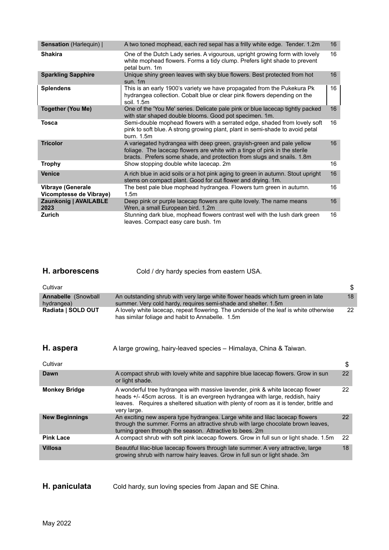| Sensation (Harlequin)                               | A two toned mophead, each red sepal has a frilly white edge. Tender. 1.2m                                                                                                                                                     | 16 |
|-----------------------------------------------------|-------------------------------------------------------------------------------------------------------------------------------------------------------------------------------------------------------------------------------|----|
| <b>Shakira</b>                                      | One of the Dutch Lady series. A vigourous, upright growing form with lovely<br>white mophead flowers. Forms a tidy clump. Prefers light shade to prevent<br>petal burn. 1m                                                    | 16 |
| <b>Sparkling Sapphire</b>                           | Unique shiny green leaves with sky blue flowers. Best protected from hot<br>sun. $1m$                                                                                                                                         | 16 |
| <b>Splendens</b>                                    | This is an early 1900's variety we have propagated from the Pukekura Pk<br>hydrangea collection. Cobalt blue or clear pink flowers depending on the<br>soil. 1.5m                                                             | 16 |
| <b>Together (You Me)</b>                            | One of the 'You Me' series. Delicate pale pink or blue lacecap tightly packed<br>with star shaped double blooms. Good pot specimen. 1m.                                                                                       | 16 |
| <b>Tosca</b>                                        | Semi-double mophead flowers with a serrated edge, shaded from lovely soft<br>pink to soft blue. A strong growing plant, plant in semi-shade to avoid petal<br>burn. 1.5m                                                      | 16 |
| <b>Tricolor</b>                                     | A variegated hydrangea with deep green, grayish-green and pale yellow<br>foliage. The lacecap flowers are white with a tinge of pink in the sterile<br>bracts. Prefers some shade, and protection from slugs and snails. 1.8m | 16 |
| <b>Trophy</b>                                       | Show stopping double white lacecap. 2m                                                                                                                                                                                        | 16 |
| <b>Venice</b>                                       | A rich blue in acid soils or a hot pink aging to green in autumn. Stout upright<br>stems on compact plant. Good for cut flower and drying. 1m.                                                                                | 16 |
| <b>Vibraye (Generale</b><br>Vicomptesse de Vibraye) | The best pale blue mophead hydrangea. Flowers turn green in autumn.<br>1.5 <sub>m</sub>                                                                                                                                       | 16 |
| Zaunkonig   AVAILABLE<br>2023                       | Deep pink or purple lacecap flowers are quite lovely. The name means<br>Wren, a small European bird. 1.2m                                                                                                                     | 16 |
| <b>Zurich</b>                                       | Stunning dark blue, mophead flowers contrast well with the lush dark green<br>leaves. Compact easy care bush. 1m                                                                                                              | 16 |

| <b>H.</b> arborescens | Cold / dry hardy species from eastern USA. |
|-----------------------|--------------------------------------------|
|-----------------------|--------------------------------------------|

| Cultivar                          |                                                                                                                                                                                                                                                                           | \$ |
|-----------------------------------|---------------------------------------------------------------------------------------------------------------------------------------------------------------------------------------------------------------------------------------------------------------------------|----|
| Annabelle (Snowball<br>hydrangea) | An outstanding shrub with very large white flower heads which turn green in late<br>summer. Very cold hardy, requires semi-shade and shelter. 1.5m                                                                                                                        | 18 |
| Radiata   SOLD OUT                | A lovely white lacecap, repeat flowering. The underside of the leaf is white otherwise<br>has similar foliage and habit to Annabelle. 1.5m                                                                                                                                | 22 |
| H. aspera                         | A large growing, hairy-leaved species - Himalaya, China & Taiwan.                                                                                                                                                                                                         |    |
| Cultivar                          |                                                                                                                                                                                                                                                                           | \$ |
| Dawn                              | A compact shrub with lovely white and sapphire blue lacecap flowers. Grow in sun<br>or light shade.                                                                                                                                                                       | 22 |
| <b>Monkey Bridge</b>              | A wonderful tree hydrangea with massive lavender, pink & white lacecap flower<br>heads +/- 45cm across. It is an evergreen hydrangea with large, reddish, hairy<br>leaves. Requires a sheltered situation with plenty of room as it is tender, brittle and<br>very large. | 22 |
| <b>New Beginnings</b>             | An exciting new aspera type hydrangea. Large white and lilac lacecap flowers<br>through the summer. Forms an attractive shrub with large chocolate brown leaves,<br>turning green through the season. Attractive to bees. 2m                                              | 22 |
| <b>Pink Lace</b>                  | A compact shrub with soft pink lacecap flowers. Grow in full sun or light shade. 1.5m                                                                                                                                                                                     | 22 |
| <b>Villosa</b>                    | Beautiful lilac-blue lacecap flowers through late summer. A very attractive, large<br>growing shrub with narrow hairy leaves. Grow in full sun or light shade. 3m                                                                                                         | 18 |

# **H. paniculata** Cold hardy, sun loving species from Japan and SE China.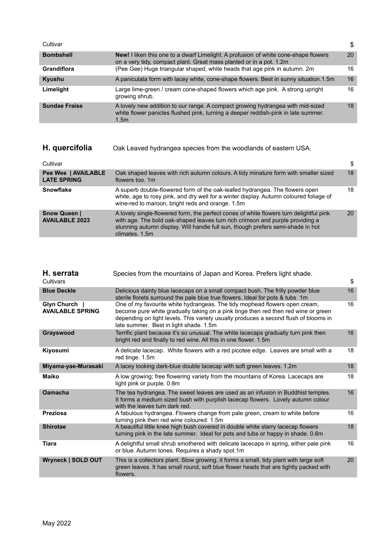| Cultivar             |                                                                                                                                                                                         | S  |
|----------------------|-----------------------------------------------------------------------------------------------------------------------------------------------------------------------------------------|----|
| <b>Bombshell</b>     | <b>New!</b> I liken this one to a dwarf Limelight. A profusion of white cone-shape flowers<br>on a very tidy, compact plant. Great mass planted or in a pot. 1.2m                       | 20 |
| <b>Grandiflora</b>   | (Pee Gee) Huge triangular shaped, white heads that age pink in autumn. 2m                                                                                                               | 16 |
| Kyushu               | A paniculata form with lacey white, cone-shape flowers. Best in sunny situation.1.5m                                                                                                    | 16 |
| Limelight            | Large lime-green / cream cone-shaped flowers which age pink. A strong upright<br>growing shrub.                                                                                         | 16 |
| <b>Sundae Fraise</b> | A lovely new addition to our range. A compact growing hydrangea with mid-sized<br>white flower panicles flushed pink, turning a deeper reddish-pink in late summer.<br>1.5 <sub>m</sub> | 18 |

| H. quercifolia                               | Oak Leaved hydrangea species from the woodlands of eastern USA.                                                                                                                                                                                                              |    |
|----------------------------------------------|------------------------------------------------------------------------------------------------------------------------------------------------------------------------------------------------------------------------------------------------------------------------------|----|
| Cultivar                                     |                                                                                                                                                                                                                                                                              | \$ |
| Pee Wee   AVAILABLE<br><b>LATE SPRING</b>    | Oak shaped leaves with rich autumn colours. A tidy minature form with smaller sized<br>flowers too, 1m                                                                                                                                                                       | 18 |
| <b>Snowflake</b>                             | A superb double-flowered form of the oak-leafed hydrangea. The flowers open<br>white, age to rosy pink, and dry well for a winter display. Autumn coloured foliage of<br>wine-red to maroon, bright reds and orange. 1.5m                                                    | 18 |
| <b>Snow Queen  </b><br><b>AVAILABLE 2023</b> | A lovely single-flowered form, the perfect cones of white flowers turn delightful pink<br>with age. The bold oak-shaped leaves turn rich crimson and purple providing a<br>stunning autumn display. Will handle full sun, though prefers semi-shade in hot<br>climates, 1.5m | 20 |

| H. serrata<br>Cultivars                  | Species from the mountains of Japan and Korea. Prefers light shade.                                                                                                                                                                                                                                | \$ |
|------------------------------------------|----------------------------------------------------------------------------------------------------------------------------------------------------------------------------------------------------------------------------------------------------------------------------------------------------|----|
| <b>Blue Deckle</b>                       | Delicious dainty blue lacecaps on a small compact bush. The frilly powder blue<br>sterile florets surround the pale blue true flowers. Ideal for pots & tubs 1m                                                                                                                                    | 16 |
| Glyn Church  <br><b>AVAILABLE SPRING</b> | One of my favourite white hydrangeas. The tidy mophead flowers open cream,<br>become pure white gradually taking on a pink tinge then red then red wine or green<br>depending on light levels. This variety usually produces a second flush of blooms in<br>late summer. Best in light shade. 1.5m | 16 |
| Grayswood                                | Terrific plant because it's so unusual. The white lacecaps gradually turn pink then<br>bright red and finally to red wine. All this in one flower. 1.5m                                                                                                                                            | 16 |
| Kiyosumi                                 | A delicate lacecap. White flowers with a red picotee edge. Leaves are small with a<br>red tinge. 1.5m                                                                                                                                                                                              | 18 |
| Miyama-yae-Murasaki                      | A lacey looking dark-blue double lacecap with soft green leaves. 1.2m                                                                                                                                                                                                                              | 18 |
| Maiko                                    | A low growing; free flowering variety from the mountains of Korea. Lacecaps are<br>light pink or purple. 0.8m                                                                                                                                                                                      | 18 |
| <b>Oamacha</b>                           | The tea hydrangea. The sweet leaves are used as an infusion in Buddhist temples.<br>It forms a medium sized bush with purplish lacecap flowers. Lovely autumn colour<br>with the leaves turn dark red.                                                                                             | 16 |
| Preziosa                                 | A fabulous hydrangea. Flowers change from pale green, cream to white before<br>turning pink then red wine coloured. 1.5m                                                                                                                                                                           | 16 |
| <b>Shirotae</b>                          | A beautiful little knee high bush covered in double white starry lacecap flowers<br>turning pink in the late summer. Ideal for pots and tubs or happy in shade. 0.6m                                                                                                                               | 18 |
| Tiara                                    | A delightful small shrub smothered with delicate lacecaps in spring, either pale pink<br>or blue. Autumn tones. Requires a shady spot.1m                                                                                                                                                           | 16 |
| Wryneck   SOLD OUT                       | This is a collectors plant. Slow growing, it forms a small, tidy plant with large soft<br>green leaves. It has small round, soft blue flower heads that are tightly packed with<br>flowers.                                                                                                        | 20 |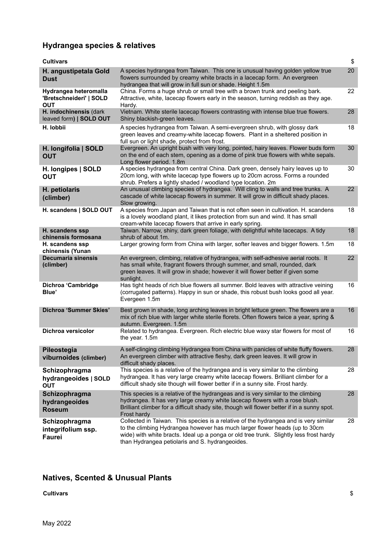## **Hydrangea species & relatives**

| <b>Cultivars</b>                                               |                                                                                                                                                                                                                                                                                                                 | \$ |
|----------------------------------------------------------------|-----------------------------------------------------------------------------------------------------------------------------------------------------------------------------------------------------------------------------------------------------------------------------------------------------------------|----|
| H. angustipetala Gold<br><b>Dust</b>                           | A species hydrangea from Taiwan. This one is unusual having golden yellow true<br>flowers surrounded by creamy white bracts in a lacecap form. An evergreen<br>hydrangea that will grow in full sun or shade. Height 1.5m                                                                                       | 20 |
| Hydrangea heteromalla<br>'Bretschneideri'   SOLD<br><b>OUT</b> | China. Forms a huge shrub or small tree with a brown trunk and peeling bark.<br>Attractive, white, lacecap flowers early in the season, turning reddish as they age.<br>Hardy.                                                                                                                                  | 22 |
| H. indochinensis (dark<br>leaved form)   SOLD OUT              | Vietnam. White sterile lacecap flowers contrasting with intense blue true flowers.<br>Shiny blackish-green leaves.                                                                                                                                                                                              | 28 |
| H. lobbii                                                      | A species hydrangea from Taiwan. A semi-evergreen shrub, with glossy dark<br>green leaves and creamy-white lacecap flowers. Plant in a sheltered position in<br>full sun or light shade, protect from frost.                                                                                                    | 18 |
| H. longifolia   SOLD<br><b>OUT</b>                             | Evergreen. An upright bush with very long, pointed, hairy leaves. Flower buds form<br>on the end of each stem, opening as a dome of pink true flowers with white sepals.<br>Long flower period. 1.8m                                                                                                            | 30 |
| H. longipes   SOLD<br><b>OUT</b>                               | A species hydrangea from central China. Dark green, densely hairy leaves up to<br>20cm long, with white lacecap type flowers up to 20cm across. Forms a rounded<br>shrub. Prefers a lightly shaded / woodland type location. 2m                                                                                 | 30 |
| H. petiolaris<br>(climber)                                     | An unusual climbing species of hydrangea. Will cling to walls and tree trunks. A<br>cascade of white lacecap flowers in summer. It will grow in difficult shady places.<br>Slow growing.                                                                                                                        | 22 |
| H. scandens   SOLD OUT                                         | A species from Japan and Taiwan that is not often seen in cultivation. H. scandens<br>is a lovely woodland plant, it likes protection from sun and wind. It has small<br>cream-white lacecap flowers that arrive in early spring.                                                                               | 18 |
| H. scandens ssp<br>chinensis formosana                         | Taiwan. Narrow, shiny, dark green foliage, with delightful white lacecaps. A tidy<br>shrub of about 1m.                                                                                                                                                                                                         | 18 |
| H. scandens ssp<br>chinensis (Yunan                            | Larger growing form from China with larger, softer leaves and bigger flowers. 1.5m                                                                                                                                                                                                                              | 18 |
| <b>Decumaria sinensis</b><br>(climber)                         | An evergreen, climbing, relative of hydrangea, with self-adhesive aerial roots. It<br>has small white, fragrant flowers through summer, and small, rounded, dark<br>green leaves. It will grow in shade; however it will flower better if given some<br>sunlight.                                               | 22 |
| Dichroa 'Cambridge<br>Blue'                                    | Has tight heads of rich blue flowers all summer. Bold leaves with attractive veining<br>(corrugated patterns). Happy in sun or shade, this robust bush looks good all year.<br>Evergeen 1.5m                                                                                                                    | 16 |
| Dichroa 'Summer Skies'                                         | Best grown in shade, long arching leaves in bright lettuce green. The flowers are a<br>mix of rich blue with larger white sterile florets. Often flowers twice a year, spring &<br>autumn. Evergreen. 1.5m                                                                                                      | 16 |
| Dichroa versicolor                                             | Related to hydrangea. Evergreen. Rich electric blue waxy star flowers for most of<br>the year. 1.5m                                                                                                                                                                                                             | 16 |
| Pileostegia<br>viburnoides (climber)                           | A self-clinging climbing Hydrangea from China with panicles of white fluffy flowers.<br>An evergreen climber with attractive fleshy, dark green leaves. It will grow in<br>difficult shady places.                                                                                                              | 28 |
| Schizophragma<br>hydrangeoides   SOLD<br><b>OUT</b>            | This species is a relative of the hydrangea and is very similar to the climbing<br>hydrangea. It has very large creamy white lacecap flowers. Brilliant climber for a<br>difficult shady site though will flower better if in a sunny site. Frost hardy.                                                        | 28 |
| Schizophragma<br>hydrangeoides<br><b>Roseum</b>                | This species is a relative of the hydrangeas and is very similar to the climbing<br>hydrangea. It has very large creamy white lacecap flowers with a rose blush.<br>Brilliant climber for a difficult shady site, though will flower better if in a sunny spot.<br>Frost hardy                                  | 28 |
| Schizophragma<br>integrifolium ssp.<br>Faurei                  | Collected in Taiwan. This species is a relative of the hydrangea and is very similar<br>to the climbing Hydrangea however has much larger flower heads (up to 30cm<br>wide) with white bracts. Ideal up a ponga or old tree trunk. Slightly less frost hardy<br>than Hydrangea petiolaris and S. hydrangeoides. | 28 |

# **Natives, Scented & Unusual Plants**

**Cultivars** \$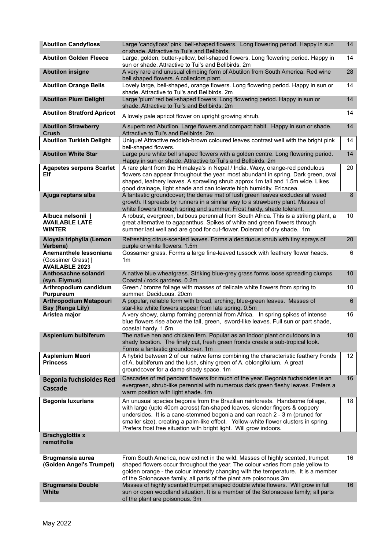| <b>Abutilon Candyfloss</b>                                            | Large 'candyfloss' pink bell-shaped flowers. Long flowering period. Happy in sun<br>or shade. Attractive to Tui's and Bellbirds.                                                                                                                                                                                                                                                                                | 14              |
|-----------------------------------------------------------------------|-----------------------------------------------------------------------------------------------------------------------------------------------------------------------------------------------------------------------------------------------------------------------------------------------------------------------------------------------------------------------------------------------------------------|-----------------|
| <b>Abutilon Golden Fleece</b>                                         | Large, golden, butter-yellow, bell-shaped flowers. Long flowering period. Happy in<br>sun or shade. Attractive to Tui's and Bellbirds. 2m                                                                                                                                                                                                                                                                       | 14              |
| <b>Abutilon insigne</b>                                               | A very rare and unusual climbing form of Abutilon from South America. Red wine<br>bell shaped flowers. A collectors plant.                                                                                                                                                                                                                                                                                      | 28              |
| <b>Abutilon Orange Bells</b>                                          | Lovely large, bell-shaped, orange flowers. Long flowering period. Happy in sun or<br>shade. Attractive to Tui's and Bellbirds. 2m                                                                                                                                                                                                                                                                               | 14              |
| <b>Abutilon Plum Delight</b>                                          | Large 'plum' red bell-shaped flowers. Long flowering period. Happy in sun or<br>shade. Attractive to Tui's and Bellbirds. 2m                                                                                                                                                                                                                                                                                    | 14              |
| <b>Abutilon Stratford Apricot</b>                                     | A lovely pale apricot flower on upright growing shrub.                                                                                                                                                                                                                                                                                                                                                          | 14              |
| <b>Abutilon Strawberry</b><br>Crush                                   | A superb red Abutilon. Large flowers and compact habit. Happy in sun or shade.<br>Attractive to Tui's and Bellbirds. 2m                                                                                                                                                                                                                                                                                         | 14              |
| <b>Abutilon Turkish Delight</b>                                       | Unique! Attractive reddish-brown coloured leaves contrast well with the bright pink<br>bell-shaped flowers.                                                                                                                                                                                                                                                                                                     | 14              |
| <b>Abutilon White Star</b>                                            | Large pure white bell shaped flowers with a golden centre. Long flowering period.<br>Happy in sun or shade. Attractive to Tui's and Bellbirds. 2m                                                                                                                                                                                                                                                               | 14              |
| <b>Agapetes serpens Scarlet</b><br>Elf                                | A rare plant from the Himalaya's in Nepal / India. Waxy, orange-red pendulous<br>flowers can appear throughout the year, most abundant in spring. Dark green, oval<br>shaped, leathery leaves. A sprawling shrub approx 1m tall and 1.5m wide. Likes<br>good drainage, light shade and can tolerate high humidity. Ericacea.                                                                                    | 20              |
| Ajuga reptans alba                                                    | A fantastic groundcover; the dense mat of lush green leaves excludes all weed<br>growth. It spreads by runners in a similar way to a strawberry plant. Masses of<br>white flowers through spring and summer. Frost hardy, shade tolerant.                                                                                                                                                                       | 8               |
| Albuca nelsonii<br><b>AVAILABLE LATE</b><br><b>WINTER</b>             | A robust, evergreen, bulbous perennial from South Africa. This is a striking plant, a<br>great alternative to agapanthus. Spikes of white and green flowers through<br>summer last well and are good for cut-flower. Dolerant of dry shade. 1m                                                                                                                                                                  | 10 <sup>1</sup> |
| Aloysia triphylla (Lemon<br>Verbena)                                  | Refreshing citrus-scented leaves. Forms a deciduous shrub with tiny sprays of<br>purple or white flowers. 1.5m                                                                                                                                                                                                                                                                                                  | 20              |
| Anemanthele lessoniana<br>(Gossimer Grass)  <br><b>AVAILABLE 2023</b> | Gossamer grass. Forms a large fine-leaved tussock with feathery flower heads.<br>1 <sub>m</sub>                                                                                                                                                                                                                                                                                                                 | 6               |
| Anthosachne solandri                                                  | A native blue wheatgrass. Striking blue-grey grass forms loose spreading clumps.                                                                                                                                                                                                                                                                                                                                | 10              |
| (syn. Elymus)                                                         | Coastal / rock gardens. 0.2m                                                                                                                                                                                                                                                                                                                                                                                    |                 |
| Arthropodium candidum<br><b>Purpureum</b>                             | Green / bronze foliage with masses of delicate white flowers from spring to<br>summer. Deciduous. 20cm                                                                                                                                                                                                                                                                                                          | 10              |
| <b>Arthropodium Matapouri</b><br><b>Bay (Renga Lily)</b>              | A popular, reliable form with broad, arching, blue-green leaves. Masses of<br>star-like white flowers appear from late spring. 0.5m                                                                                                                                                                                                                                                                             | $6\phantom{1}$  |
| Aristea major                                                         | A very showy, clump forming perennial from Africa. In spring spikes of intense<br>blue flowers rise above the tall, green, sword-like leaves. Full sun or part shade,<br>coastal hardy. 1.5m.                                                                                                                                                                                                                   | 16              |
| Asplenium bulbiferum                                                  | The native hen and chicken fern. Popular as an indoor plant or outdoors in a<br>shady location. The finely cut, fresh green fronds create a sub-tropical look.                                                                                                                                                                                                                                                  | 10 <sup>1</sup> |
| Asplenium Maori<br><b>Princess</b>                                    | Forms a fantastic groundcover. 1m<br>A hybrid between 2 of our native ferns combining the characteristic feathery fronds<br>of A. bulbiferum and the lush, shiny green of A. oblongifolium. A great<br>groundcover for a damp shady space. 1m                                                                                                                                                                   | 12 <sup>2</sup> |
| <b>Begonia fuchsioides Red</b><br>Cascade                             | Cascades of red pendant flowers for much of the year. Begonia fuchsioides is an<br>evergreen, shrub-like perennial with numerous dark green fleshy leaves. Prefers a<br>warm position with light shade. 1m                                                                                                                                                                                                      | 16              |
| <b>Begonia luxurians</b>                                              | An unusual species begonia from the Brazilian rainforests. Handsome foliage,<br>with large (upto 40cm across) fan-shaped leaves, slender fingers & coppery<br>undersides. It is a cane-stemmed begonia and can reach 2 - 3 m (pruned for<br>smaller size), creating a palm-like effect. Yellow-white flower clusters in spring.<br>Prefers frost free situation with bright light. Will grow indoors.           | 18              |
| <b>Brachyglottis x</b><br>remotifolia                                 |                                                                                                                                                                                                                                                                                                                                                                                                                 |                 |
| Brugmansia aurea<br>(Golden Angel's Trumpet)                          | From South America, now extinct in the wild. Masses of highly scented, trumpet<br>shaped flowers occur throughout the year. The colour varies from pale yellow to<br>golden orange - the colour intensity changing with the temperature. It is a member<br>of the Solonaceae family, all parts of the plant are poisonous.3m<br>Masses of highly scented trumpet shaped double white flowers. Will grow in full | 16              |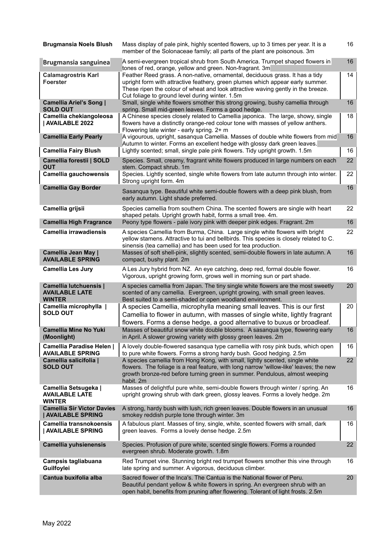| <b>Brugmansia Noels Blush</b>                                           | Mass display of pale pink, highly scented flowers, up to 3 times per year. It is a<br>member of the Solonaceae family; all parts of the plant are poisonous. 3m                                                                                                                                       | 16 |
|-------------------------------------------------------------------------|-------------------------------------------------------------------------------------------------------------------------------------------------------------------------------------------------------------------------------------------------------------------------------------------------------|----|
| <b>Brugmansia sanguinea</b>                                             | A semi-evergreen tropical shrub from South America. Trumpet shaped flowers in<br>tones of red, orange, yellow and green. Non-fragrant. 3m                                                                                                                                                             | 16 |
| <b>Calamagrostris Karl</b><br><b>Foerster</b>                           | Feather Reed grass. A non-native, ornamental, deciduous grass. It has a tidy<br>upright form with attractive feathery, green plumes which appear early summer.<br>These ripen the colour of wheat and look attractive waving gently in the breeze.<br>Cut foliage to ground level during winter. 1.5m | 14 |
| Camellia Ariel's Song  <br><b>SOLD OUT</b>                              | Small, single white flowers smother this strong growing, bushy camellia through<br>spring. Small mid-green leaves. Forms a good hedge.                                                                                                                                                                | 16 |
| Camellia chekiangoleosa<br>  AVAILABLE 2022                             | A Chinese species closely related to Camellia japonica. The large, showy, single<br>flowers have a distinctly orange-red colour tone with masses of yellow anthers.<br>Flowering late winter - early spring. 2+ m                                                                                     | 18 |
| <b>Camellia Early Pearly</b>                                            | A vigourous, upright, sasanqua Camellia. Masses of double white flowers from mid<br>Autumn to winter. Forms an excellent hedge with glossy dark green leaves.                                                                                                                                         | 16 |
| <b>Camellia Fairy Blush</b>                                             | Lightly scented; small, single pale pink flowers. Tidy upright growth. 1.5m                                                                                                                                                                                                                           | 16 |
| Camellia forestii   SOLD<br><b>OUT</b>                                  | Species. Small, creamy, fragrant white flowers produced in large numbers on each<br>stem. Compact shrub. 1m                                                                                                                                                                                           | 22 |
| Camellia gauchowensis                                                   | Species. Lightly scented, single white flowers from late autumn through into winter.<br>Strong upright form. 4m                                                                                                                                                                                       | 22 |
| <b>Camellia Gay Border</b>                                              | Sasanqua type. Beautiful white semi-double flowers with a deep pink blush, from<br>early autumn. Light shade preferred.                                                                                                                                                                               | 16 |
| Camellia grijsii                                                        | Species camellia from southern China. The scented flowers are single with heart<br>shaped petals. Upright growth habit, forms a small tree. 4m.                                                                                                                                                       | 22 |
| <b>Camellia High Fragrance</b>                                          | Peony type flowers - pale ivory pink with deeper pink edges. Fragrant. 2m                                                                                                                                                                                                                             | 16 |
| <b>Camellia irrawadiensis</b>                                           | A species Camellia from Burma, China. Large single white flowers with bright<br>yellow stamens. Attractive to tui and bellbirds. This species is closely related to C.<br>sinensis (tea camellia) and has been used for tea production.                                                               | 22 |
| Camellia Jean May  <br><b>AVAILABLE SPRING</b>                          | Masses of soft shell-pink, slightly scented, semi-double flowers in late autumn. A<br>compact, bushy plant. 2m                                                                                                                                                                                        | 16 |
| <b>Camellia Les Jury</b>                                                | A Les Jury hybrid from NZ. An eye catching, deep red, formal double flower.<br>Vigorous, upright growing form, grows well in morning sun or part shade.                                                                                                                                               | 16 |
| <b>Camellia lutchuensis  </b><br><b>AVAILABLE LATE</b><br><b>WINTER</b> | A species camellia from Japan. The tiny single white flowers are the most sweetly<br>scented of any camellia. Evergreen, upright growing, with small green leaves.<br>Best suited to a semi-shaded or open woodland environment.                                                                      | 20 |
| Camellia microphylla  <br><b>SOLD OUT</b>                               | A species Camellia, microphylla meaning small leaves. This is our first<br>Camellia to flower in autumn, with masses of single white, lightly fragrant<br>flowers. Forms a dense hedge, a good alternative to buxus or broadleaf.                                                                     | 20 |
| <b>Camellia Mine No Yuki</b><br>(Moonlight)                             | Masses of beautiful snow white double blooms. A sasanqua type, flowering early<br>in April. A slower growing variety with glossy green leaves. 2m                                                                                                                                                     | 16 |
| Camellia Paradise Helen  <br><b>AVAILABLE SPRING</b>                    | A lovely double-flowered sasanqua type camellia with rosy pink buds, which open<br>to pure white flowers. Forms a strong hardy bush. Good hedging. 2.5m                                                                                                                                               | 16 |
| Camellia salicifolia  <br><b>SOLD OUT</b>                               | A species camellia from Hong Kong, with small, lightly scented, single white<br>flowers. The foliage is a real feature, with long narrow 'willow-like' leaves; the new<br>growth bronze-red before turning green in summer. Pendulous, almost weeping<br>habit. 2m                                    | 22 |
| Camellia Setsugeka  <br><b>AVAILABLE LATE</b><br><b>WINTER</b>          | Masses of delightful pure white, semi-double flowers through winter / spring. An<br>upright growing shrub with dark green, glossy leaves. Forms a lovely hedge. 2m                                                                                                                                    | 16 |
| <b>Camellia Sir Victor Davies</b><br><b>AVAILABLE SPRING</b>            | A strong, hardy bush with lush, rich green leaves. Double flowers in an unusual<br>smokey reddish purple tone through winter. 3m                                                                                                                                                                      | 16 |
| Camellia transnokoensis<br>  AVAILABLE SPRING                           | A fabulous plant. Masses of tiny, single, white, scented flowers with small, dark<br>green leaves. Forms a lovely dense hedge. 2.5m                                                                                                                                                                   | 16 |
| Camellia yuhsienensis                                                   | Species. Profusion of pure white, scented single flowers. Forms a rounded<br>evergreen shrub. Moderate growth. 1.8m                                                                                                                                                                                   | 22 |
| Campsis tagliabuana<br>Guilfoylei                                       | Red Trumpet vine. Stunning bright red trumpet flowers smother this vine through<br>late spring and summer. A vigorous, deciduous climber.                                                                                                                                                             | 16 |
| Cantua buxifolia alba                                                   | Sacred flower of the Inca's. The Cantua is the National flower of Peru.<br>Beautiful pendant yellow & white flowers in spring. An evergreen shrub with an<br>open habit, benefits from pruning after flowering. Tolerant of light frosts. 2.5m                                                        | 20 |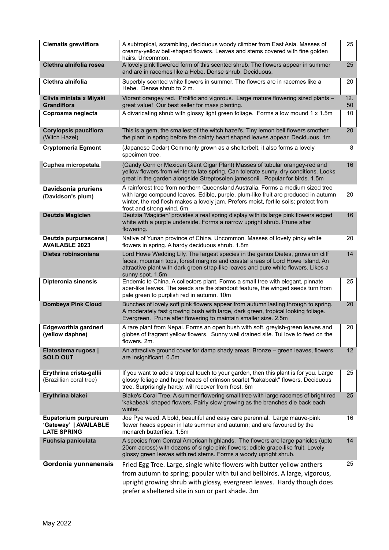| <b>Clematis grewiiflora</b>                                         | A subtropical, scrambling, deciduous woody climber from East Asia. Masses of<br>creamy-yellow bell-shaped flowers. Leaves and stems covered with fine golden<br>hairs. Uncommon.                                                                                                           | 25        |
|---------------------------------------------------------------------|--------------------------------------------------------------------------------------------------------------------------------------------------------------------------------------------------------------------------------------------------------------------------------------------|-----------|
| Clethra alnifolia rosea                                             | A lovely pink flowered form of this scented shrub. The flowers appear in summer<br>and are in racemes like a Hebe. Dense shrub. Deciduous.                                                                                                                                                 | 25        |
| Clethra alnifolia                                                   | Superbly scented white flowers in summer. The flowers are in racemes like a<br>Hebe. Dense shrub to 2 m.                                                                                                                                                                                   | 20        |
| Clivia miniata x Miyaki<br>Grandiflora                              | Vibrant orangey red. Prolific and vigorous. Large mature flowering sized plants -<br>great value! Our best seller for mass planting.                                                                                                                                                       | 12.<br>50 |
| Coprosma neglecta                                                   | A divaricating shrub with glossy light green foliage. Forms a low mound 1 x 1.5m                                                                                                                                                                                                           | 10        |
| <b>Corylopsis pauciflora</b><br>(Witch Hazel)                       | This is a gem, the smallest of the witch hazel's. Tiny lemon bell flowers smother<br>the plant in spring before the dainty heart shaped leaves appear. Deciduous. 1m                                                                                                                       | 20        |
| <b>Cryptomeria Egmont</b>                                           | (Japanese Cedar) Commonly grown as a shelterbelt, it also forms a lovely<br>specimen tree.                                                                                                                                                                                                 | 8         |
| Cuphea micropetala.                                                 | (Candy Corn or Mexican Giant Cigar Plant) Masses of tubular orangey-red and<br>yellow flowers from winter to late spring. Can tolerate sunny, dry conditions. Looks<br>great in the garden alongside Streptosolen jamesonii. Popular for birds. 1.5m                                       | 16        |
| Davidsonia pruriens<br>(Davidson's plum)                            | A rainforest tree from northern Queensland Australia. Forms a medium sized tree<br>with large compound leaves. Edible, purple, plum-like fruit are produced in autumn<br>winter, the red flesh makes a lovely jam. Prefers moist, fertile soils; protect from<br>frost and strong wind. 6m | 20        |
| <b>Deutzia Magicien</b>                                             | Deutzia 'Magicien' provides a real spring display with its large pink flowers edged<br>white with a purple underside. Forms a narrow upright shrub. Prune after<br>flowering.                                                                                                              | 16        |
| Deutzia purpurascens  <br><b>AVAILABLE 2023</b>                     | Native of Yunan province of China. Uncommon. Masses of lovely pinky white<br>flowers in spring. A hardy deciduous shrub. 1.8m                                                                                                                                                              | 20        |
| Dietes robinsoniana                                                 | Lord Howe Wedding Lily. The largest species in the genus Dietes, grows on cliff<br>faces, mountain tops, forest margins and coastal areas of Lord Howe Island. An<br>attractive plant with dark green strap-like leaves and pure white flowers. Likes a<br>sunny spot. 1.5m                | 14        |
| Dipteronia sinensis                                                 | Endemic to China. A collectors plant. Forms a small tree with elegant, pinnate<br>acer-like leaves. The seeds are the standout feature, the winged seeds turn from<br>pale green to purplish red in autumn. 10m                                                                            | 25        |
| <b>Dombeya Pink Cloud</b>                                           | Bunches of lovely soft pink flowers appear from autumn lasting through to spring.<br>A moderately fast growing bush with large, dark green, tropical looking foliage.<br>Evergreen. Prune after flowering to maintain smaller size. 2.5m                                                   | 20        |
| Edgeworthia gardneri<br>(yellow daphne)                             | A rare plant from Nepal. Forms an open bush with soft, greyish-green leaves and<br>globes of fragrant yellow flowers. Sunny well drained site. Tui love to feed on the<br>flowers. 2m.                                                                                                     | 20        |
| Elatostema rugosa  <br><b>SOLD OUT</b>                              | An attractive ground cover for damp shady areas. Bronze - green leaves, flowers<br>are insignificant. 0.5m                                                                                                                                                                                 | 12        |
| Erythrina crista-gallii<br>(Brazillian coral tree)                  | If you want to add a tropical touch to your garden, then this plant is for you. Large<br>glossy foliage and huge heads of crimson scarlet "kakabeak" flowers. Deciduous<br>tree. Surprisingly hardy, will recover from frost. 6m                                                           | 25        |
| Erythrina blakei                                                    | Blake's Coral Tree. A summer flowering small tree with large racemes of bright red<br>'kakabeak' shaped flowers. Fairly slow growing as the branches die back each<br>winter.                                                                                                              | 25        |
| Eupatorium purpureum<br>'Gateway'   AVAILABLE<br><b>LATE SPRING</b> | Joe Pye weed. A bold, beautiful and easy care perennial. Large mauve-pink<br>flower heads appear in late summer and autumn; and are favoured by the<br>monarch butterflies, 1.5m                                                                                                           | 16        |
| Fuchsia paniculata                                                  | A species from Central American highlands. The flowers are large panicles (upto<br>20cm across) with dozens of single pink flowers; edible grape-like fruit. Lovely<br>glossy green leaves with red stems. Forms a woody upright shrub.                                                    | 14        |
| Gordonia yunnanensis                                                | Fried Egg Tree. Large, single white flowers with butter yellow anthers<br>from autumn to spring; popular with tui and bellbirds. A large, vigorous,<br>upright growing shrub with glossy, evergreen leaves. Hardy though does<br>prefer a sheltered site in sun or part shade. 3m          | 25        |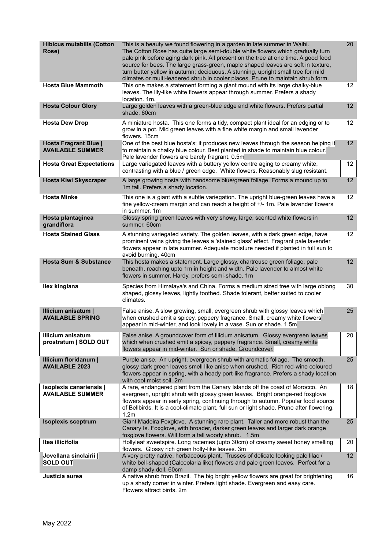| <b>Hibicus mutabilis (Cotton</b><br>Rose)                 | This is a beauty we found flowering in a garden in late summer in Waihi.<br>The Cotton Rose has quite large semi-double white flowers which gradually turn<br>pale pink before aging dark pink. All present on the tree at one time. A good food<br>source for bees. The large grass-green, maple shaped leaves are soft in texture,<br>turn butter yellow in autumn; deciduous. A stunning, upright small tree for mild<br>climates or multi-leadered shrub in cooler places. Prune to maintain shrub form. | 20              |
|-----------------------------------------------------------|--------------------------------------------------------------------------------------------------------------------------------------------------------------------------------------------------------------------------------------------------------------------------------------------------------------------------------------------------------------------------------------------------------------------------------------------------------------------------------------------------------------|-----------------|
| <b>Hosta Blue Mammoth</b>                                 | This one makes a statement forming a giant mound with its large chalky-blue<br>leaves. The lily-like white flowers appear through summer. Prefers a shady<br>location, 1m.                                                                                                                                                                                                                                                                                                                                   | 12              |
| <b>Hosta Colour Glory</b>                                 | Large golden leaves with a green-blue edge and white flowers. Prefers partial<br>shade, 60cm                                                                                                                                                                                                                                                                                                                                                                                                                 | 12 <sup>°</sup> |
| <b>Hosta Dew Drop</b>                                     | A miniature hosta. This one forms a tidy, compact plant ideal for an edging or to<br>grow in a pot. Mid green leaves with a fine white margin and small lavender<br>flowers, 15cm                                                                                                                                                                                                                                                                                                                            | 12 <sup>2</sup> |
| Hosta Fragrant Blue  <br><b>AVAILABLE SUMMER</b>          | One of the best blue hosta's; it produces new leaves through the season helping it<br>to maintain a chalky blue colour. Best planted in shade to maintain blue colour.<br>Pale lavender flowers are barely fragrant. 0.5m                                                                                                                                                                                                                                                                                    | 12              |
| <b>Hosta Great Expectations</b>                           | Large variegated leaves with a buttery yellow centre aging to creamy white,<br>contrasting with a blue / green edge. White flowers. Reasonably slug resistant.                                                                                                                                                                                                                                                                                                                                               | 12 <sup>2</sup> |
| <b>Hosta Kiwi Skyscraper</b>                              | A large growing hosta with handsome blue/green foliage. Forms a mound up to<br>1m tall. Prefers a shady location.                                                                                                                                                                                                                                                                                                                                                                                            | 12              |
| <b>Hosta Minke</b>                                        | This one is a giant with a subtle variegation. The upright blue-green leaves have a<br>fine yellow-cream margin and can reach a height of +/- 1m. Pale lavender flowers<br>in summer. 1m                                                                                                                                                                                                                                                                                                                     | 12 <sup>2</sup> |
| Hosta plantaginea<br>grandiflora                          | Glossy spring green leaves with very showy, large, scented white flowers in<br>summer, 60cm                                                                                                                                                                                                                                                                                                                                                                                                                  | 12              |
| <b>Hosta Stained Glass</b>                                | A stunning variegated variety. The golden leaves, with a dark green edge, have<br>prominent veins giving the leaves a 'stained glass' effect. Fragrant pale lavender<br>flowers appear in late summer. Adequate moisture needed if planted in full sun to<br>avoid burning. 40cm                                                                                                                                                                                                                             | 12 <sup>2</sup> |
| <b>Hosta Sum &amp; Substance</b>                          | This hosta makes a statement. Large glossy, chartreuse green foliage, pale<br>beneath, reaching upto 1m in height and width. Pale lavender to almost white<br>flowers in summer. Hardy, prefers semi-shade. 1m                                                                                                                                                                                                                                                                                               | 12 <sup>°</sup> |
| Ilex kingiana                                             | Species from Himalaya's and China. Forms a medium sized tree with large oblong<br>shaped, glossy leaves, lightly toothed. Shade tolerant, better suited to cooler<br>climates.                                                                                                                                                                                                                                                                                                                               | 30              |
| Illicium anisatum<br><b>AVAILABLE SPRING</b>              | False anise. A slow growing, small, evergreen shrub with glossy leaves which<br>when crushed emit a spicey, peppery fragrance. Small, creamy white flowers<br>appear in mid-winter, and look lovely in a vase. Sun or shade. 1.5m                                                                                                                                                                                                                                                                            | 25              |
| <b>Illicium anisatum</b><br>prostratum   SOLD OUT         | False anise. A groundcover form of Illicium anisatum. Glossy evergreen leaves<br>which when crushed emit a spicey, peppery fragrance. Small, creamy white<br>flowers appear in mid-winter. Sun or shade. Groundcover.                                                                                                                                                                                                                                                                                        | 20              |
| Illicium floridanum  <br><b>AVAILABLE 2023</b>            | Purple anise. An upright, evergreen shrub with aromatic foliage. The smooth,<br>glossy dark green leaves smell like anise when crushed. Rich red-wine coloured<br>flowers appear in spring, with a heady port-like fragrance. Prefers a shady location<br>with cool moist soil. 2m                                                                                                                                                                                                                           | 25              |
| <b>Isoplexis canariensis  </b><br><b>AVAILABLE SUMMER</b> | A rare, endangered plant from the Canary Islands off the coast of Morocco. An<br>evergreen, upright shrub with glossy green leaves. Bright orange-red foxglove<br>flowers appear in early spring, continuing through to autumn. Popular food source<br>of Bellbirds. It is a cool-climate plant, full sun or light shade. Prune after flowering.<br>1.2m                                                                                                                                                     | 18              |
| <b>Isoplexis sceptrum</b>                                 | Giant Madeira Foxglove. A stunning rare plant. Taller and more robust than the<br>Canary Is. Foxglove, with broader, darker green leaves and larger dark orange<br>foxglove flowers. Will form a tall woody shrub. 1.5m                                                                                                                                                                                                                                                                                      | 25              |
| Itea illicifolia                                          | Hollyleaf sweetspire. Long racemes (upto 30cm) of creamy sweet honey smelling<br>flowers. Glossy rich green holly-like leaves. 3m                                                                                                                                                                                                                                                                                                                                                                            | 20              |
| Jovellana sinclairii  <br><b>SOLD OUT</b>                 | A very pretty native, herbaceous plant. Trusses of delicate looking pale lilac /<br>white bell-shaped (Calceolaria like) flowers and pale green leaves. Perfect for a<br>damp shady dell. 60cm                                                                                                                                                                                                                                                                                                               | 12              |
| Justicia aurea                                            | A native shrub from Brazil. The big bright yellow flowers are great for brightening<br>up a shady corner in winter. Prefers light shade. Evergreen and easy care.<br>Flowers attract birds. 2m                                                                                                                                                                                                                                                                                                               | 16              |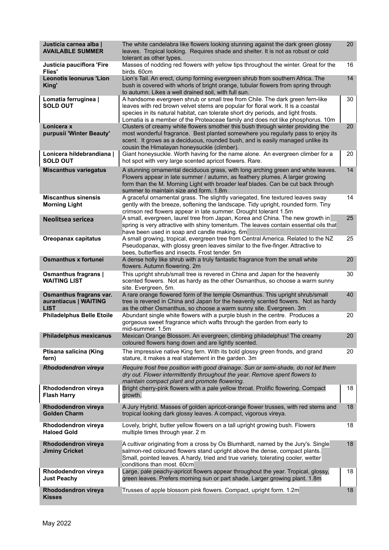| Justicia carnea alba  <br><b>AVAILABLE SUMMER</b>               | The white candelabra like flowers looking stunning against the dark green glossy<br>leaves. Tropical looking. Requires shade and shelter. It is not as robust or cold<br>tolerant as other types.                                                                                                                                       | 20 |
|-----------------------------------------------------------------|-----------------------------------------------------------------------------------------------------------------------------------------------------------------------------------------------------------------------------------------------------------------------------------------------------------------------------------------|----|
| Justicia pauciflora 'Fire<br><b>Flies'</b>                      | Masses of nodding red flowers with yellow tips throughout the winter. Great for the<br>birds. 60cm                                                                                                                                                                                                                                      | 16 |
| <b>Leonotis leonurus 'Lion</b><br>King'                         | Lion's Tail. An erect, clump forming evergreen shrub from southern Africa. The<br>bush is covered with whorls of bright orange, tubular flowers from spring through<br>to autumn. Likes a well drained soil, with full sun.                                                                                                             | 14 |
| Lomatia ferruginea  <br><b>SOLD OUT</b>                         | A handsome evergreen shrub or small tree from Chile. The dark green fern-like<br>leaves with red brown velvet stems are popular for floral work. It is a coastal<br>species in its natural habitat, can tolerate short dry periods, and light frosts.<br>Lomatia is a member of the Proteaceae family and does not like phosphorus. 10m | 30 |
| Lonicera x<br>purpusii 'Winter Beauty'                          | Clusters of creamy white flowers smother this bush through winter providing the<br>most wonderful fragrance. Best planted somewhere you regularly pass to enjoy its<br>scent. It grows as a deciduous, rounded bush, and is easily managed unlike its<br>cousin the Himalayan honeysuckle (climber).                                    | 20 |
| Lonicera hildebrandiana  <br><b>SOLD OUT</b>                    | Giant honeysuckle. Worth having for the name alone. An evergreen climber for a<br>hot spot with very large scented apricot flowers. Rare.                                                                                                                                                                                               | 20 |
| <b>Miscanthus variegatus</b>                                    | A stunning ornamental deciduous grass, with long arching green and white leaves.<br>Flowers appear in late summer / autumn, as feathery plumes. A larger growing<br>form than the M. Morning Light with broader leaf blades. Can be cut back through<br>summer to maintain size and form. 1.8m                                          | 14 |
| <b>Miscanthus sinensis</b><br><b>Morning Light</b>              | A graceful ornamental grass. The slightly variegated, fine textured leaves sway<br>gently with the breeze, softening the landscape. Tidy upright, rounded form. Tiny<br>crimson red flowers appear in late summer. Drought tolerant 1.5m                                                                                                | 14 |
| Neolitsea sericea                                               | A small, evergreen, laurel tree from Japan, Korea and China. The new growth in<br>spring is very attractive with shiny tomentum. The leaves contain essential oils that<br>have been used in soap and candle making. 6m                                                                                                                 | 25 |
| Oreopanax capitatus                                             | A small growing, tropical, evergreen tree from Central America. Related to the NZ<br>Pseudopanax, with glossy green leaves similar to the five-finger. Attractive to<br>bees, butterflies and insects. Frost tender. 5m                                                                                                                 | 25 |
| <b>Osmanthus x fortunei</b>                                     | A dense holly like shrub with a truly fantastic fragrance from the small white<br>flowers. Autumn flowering. 2m                                                                                                                                                                                                                         | 20 |
| Osmanthus fragrans  <br><b>WAITING LIST</b>                     | This upright shrub/small tree is revered in China and Japan for the heavenly<br>scented flowers. Not as hardy as the other Osmanthus, so choose a warm sunny<br>site. Evergreen, 5m.                                                                                                                                                    | 30 |
| Osmanthus fragrans var.<br>aurantiacus   WAITING<br><b>LIST</b> | A rare orange flowered form of the temple Osmanthus. This upright shrub/small<br>tree is revered in China and Japan for the heavenly scented flowers. Not as hardy<br>as the other Osmanthus, so choose a warm sunny site. Evergreen. 3m                                                                                                | 40 |
| <b>Philadelphus Belle Etoile</b>                                | Abundant single white flowers with a purple blush in the centre. Produces a<br>gorgeous sweet fragrance which wafts through the garden from early to<br>mid-summer. 1.5m                                                                                                                                                                | 20 |
| <b>Philadelphus mexicanus</b>                                   | Mexican Orange Blossom. An evergreen, climbing philadelphus! The creamy<br>coloured flowers hang down and are lightly scented.                                                                                                                                                                                                          | 20 |
| Ptisana salicina (King<br>fern)                                 | The impressive native King fern. With its bold glossy green fronds, and grand<br>stature, it makes a real statement in the garden. 3m                                                                                                                                                                                                   | 20 |
| Rhododendron vireya                                             | Require frost free position with good drainage. Sun or semi-shade, do not let them<br>dry out. Flower intermittently throughout the year. Remove spent flowers to<br>maintain compact plant and promote flowering.                                                                                                                      |    |
| Rhododendron vireya<br><b>Flash Harry</b>                       | Bright cherry-pink flowers with a pale yellow throat. Prolific flowering. Compact<br>growth.                                                                                                                                                                                                                                            | 18 |
| Rhododendron vireya<br><b>Golden Charm</b>                      | A Jury Hybrid. Masses of golden apricot-orange flower trusses, with red stems and<br>tropical looking dark glossy leaves. A compact, vigorous vireya.                                                                                                                                                                                   | 18 |
| Rhododendron vireya<br><b>Haloed Gold</b>                       | Lovely, bright, butter yellow flowers on a tall upright growing bush. Flowers<br>multiple times through year. 2 m                                                                                                                                                                                                                       | 18 |
| Rhododendron vireya<br><b>Jiminy Cricket</b>                    | A cultivar originating from a cross by Os Blumhardt, named by the Jury's. Single<br>salmon-red coloured flowers stand upright above the dense, compact plants.<br>Small, pointed leaves. A hardy, tried and true variety, tolerating cooler, wetter<br>conditions than most. 60cm                                                       | 18 |
| Rhododendron vireya<br><b>Just Peachy</b>                       | Large, pale peachy-apricot flowers appear throughout the year. Tropical, glossy,<br>green leaves. Prefers morning sun or part shade. Larger growing plant. 1.8m                                                                                                                                                                         | 18 |
| Rhododendron vireya<br><b>Kisses</b>                            | Trusses of apple blossom pink flowers. Compact, upright form. 1.2m                                                                                                                                                                                                                                                                      | 18 |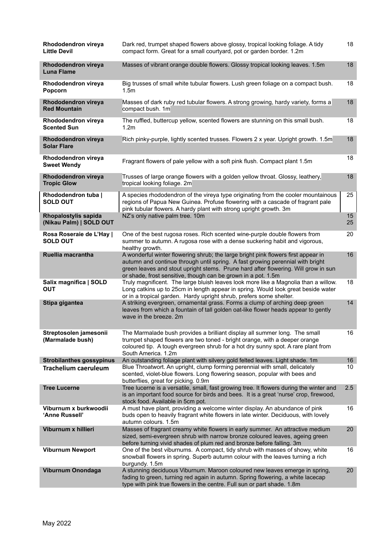| Rhododendron vireya<br><b>Little Devil</b>      | Dark red, trumpet shaped flowers above glossy, tropical looking foliage. A tidy<br>compact form. Great for a small courtyard, pot or garden border. 1.2m                                                                                                                                                                   | 18       |
|-------------------------------------------------|----------------------------------------------------------------------------------------------------------------------------------------------------------------------------------------------------------------------------------------------------------------------------------------------------------------------------|----------|
| Rhododendron vireya<br><b>Luna Flame</b>        | Masses of vibrant orange double flowers. Glossy tropical looking leaves. 1.5m                                                                                                                                                                                                                                              | 18       |
| Rhododendron vireya<br>Popcorn                  | Big trusses of small white tubular flowers. Lush green foliage on a compact bush.<br>1.5 <sub>m</sub>                                                                                                                                                                                                                      | 18       |
| Rhododendron vireya<br><b>Red Mountain</b>      | Masses of dark ruby red tubular flowers. A strong growing, hardy variety, forms a<br>compact bush. 1m                                                                                                                                                                                                                      | 18       |
| Rhododendron vireya<br><b>Scented Sun</b>       | The ruffled, buttercup yellow, scented flowers are stunning on this small bush.<br>1.2m                                                                                                                                                                                                                                    | 18       |
| Rhododendron vireya<br><b>Solar Flare</b>       | Rich pinky-purple, lightly scented trusses. Flowers 2 x year. Upright growth. 1.5m                                                                                                                                                                                                                                         | 18       |
| Rhododendron vireya<br><b>Sweet Wendy</b>       | Fragrant flowers of pale yellow with a soft pink flush. Compact plant 1.5m                                                                                                                                                                                                                                                 | 18       |
| Rhododendron vireya<br><b>Tropic Glow</b>       | Trusses of large orange flowers with a golden yellow throat. Glossy, leathery,<br>tropical looking foliage. 2m                                                                                                                                                                                                             | 18       |
| Rhododendron tuba  <br><b>SOLD OUT</b>          | A species rhododendron of the vireya type originating from the cooler mountainous<br>regions of Papua New Guinea. Profuse flowering with a cascade of fragrant pale<br>pink tubular flowers. A hardy plant with strong upright growth. 3m                                                                                  | 25       |
| Rhopalostylis sapida<br>(Nikau Palm)   SOLD OUT | NZ's only native palm tree. 10m                                                                                                                                                                                                                                                                                            | 15<br>25 |
| Rosa Roseraie de L'Hay  <br><b>SOLD OUT</b>     | One of the best rugosa roses. Rich scented wine-purple double flowers from<br>summer to autumn. A rugosa rose with a dense suckering habit and vigorous,<br>healthy growth.                                                                                                                                                | 20       |
| Ruellia macrantha                               | A wonderful winter flowering shrub; the large bright pink flowers first appear in<br>autumn and continue through until spring. A fast growing perennial with bright<br>green leaves and stout upright stems. Prune hard after flowering. Will grow in sun<br>or shade, frost sensitive, though can be grown in a pot. 1.5m | 16       |
| Salix magnifica   SOLD<br><b>OUT</b>            | Truly magnificent. The large bluish leaves look more like a Magnolia than a willow.<br>Long catkins up to 25cm in length appear in spring. Would look great beside water<br>or in a tropical garden. Hardy upright shrub, prefers some shelter.                                                                            | 18       |
| Stipa gigantea                                  | A striking evergreen, ornamental grass. Forms a clump of arching deep green<br>leaves from which a fountain of tall golden oat-like flower heads appear to gently<br>wave in the breeze. 2m                                                                                                                                | 14       |
| Streptosolen jamesonii<br>(Marmalade bush)      | The Marmalade bush provides a brilliant display all summer long. The small<br>trumpet shaped flowers are two toned - bright orange, with a deeper orange<br>coloured tip. A tough evergreen shrub for a hot dry sunny spot. A rare plant from<br>South America. 1.2m                                                       | 16       |
| <b>Strobilanthes gossypinus</b>                 | An outstanding foliage plant with silvery gold felted leaves. Light shade. 1m                                                                                                                                                                                                                                              | 16       |
| <b>Trachelium caeruleum</b>                     | Blue Throatwort. An upright, clump forming perennial with small, delicately<br>scented, violet-blue flowers. Long flowering season, popular with bees and<br>butterflies, great for picking. 0.9m                                                                                                                          | 10       |
| <b>Tree Lucerne</b>                             | Tree lucerne is a versatile, small, fast growing tree. It flowers during the winter and<br>is an important food source for birds and bees. It is a great 'nurse' crop, firewood,<br>stock food. Available in 5cm pot.                                                                                                      | 2.5      |
| Viburnum x burkwoodii<br>'Anne Russell'         | A must have plant, providing a welcome winter display. An abundance of pink<br>buds open to heavily fragrant white flowers in late winter. Deciduous, with lovely<br>autumn colours. 1.5m                                                                                                                                  | 16       |
| Viburnum x hillieri                             | Masses of fragrant creamy white flowers in early summer. An attractive medium<br>sized, semi-evergreen shrub with narrow bronze coloured leaves, ageing green<br>before turning vivid shades of plum red and bronze before falling. 3m                                                                                     | 20       |
| <b>Viburnum Newport</b>                         | One of the best viburnums. A compact, tidy shrub with masses of showy, white<br>snowball flowers in spring. Superb autumn colour with the leaves turning a rich<br>burgundy. 1.5m                                                                                                                                          | 16       |
| Viburnum Onondaga                               | A stunning deciduous Viburnum. Maroon coloured new leaves emerge in spring,<br>fading to green, turning red again in autumn. Spring flowering, a white lacecap<br>type with pink true flowers in the centre. Full sun or part shade. 1.8m                                                                                  | 20       |